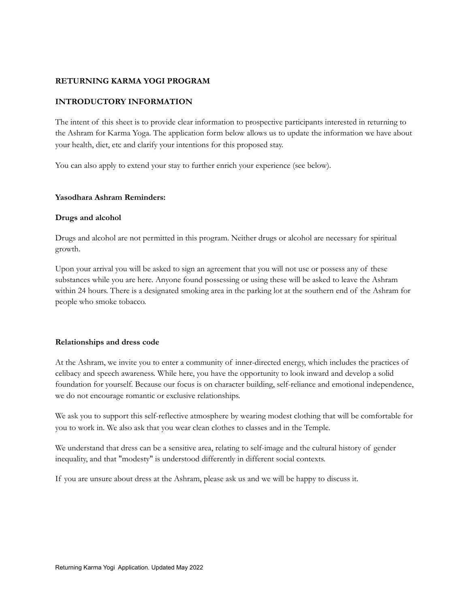#### **RETURNING KARMA YOGI PROGRAM**

#### **INTRODUCTORY INFORMATION**

The intent of this sheet is to provide clear information to prospective participants interested in returning to the Ashram for Karma Yoga. The application form below allows us to update the information we have about your health, diet, etc and clarify your intentions for this proposed stay.

You can also apply to extend your stay to further enrich your experience (see below).

#### **Yasodhara Ashram Reminders:**

#### **Drugs and alcohol**

Drugs and alcohol are not permitted in this program. Neither drugs or alcohol are necessary for spiritual growth.

Upon your arrival you will be asked to sign an agreement that you will not use or possess any of these substances while you are here. Anyone found possessing or using these will be asked to leave the Ashram within 24 hours. There is a designated smoking area in the parking lot at the southern end of the Ashram for people who smoke tobacco.

#### **Relationships and dress code**

At the Ashram, we invite you to enter a community of inner-directed energy, which includes the practices of celibacy and speech awareness. While here, you have the opportunity to look inward and develop a solid foundation for yourself. Because our focus is on character building, self-reliance and emotional independence, we do not encourage romantic or exclusive relationships.

We ask you to support this self-reflective atmosphere by wearing modest clothing that will be comfortable for you to work in. We also ask that you wear clean clothes to classes and in the Temple.

We understand that dress can be a sensitive area, relating to self-image and the cultural history of gender inequality, and that "modesty" is understood differently in different social contexts.

If you are unsure about dress at the Ashram, please ask us and we will be happy to discuss it.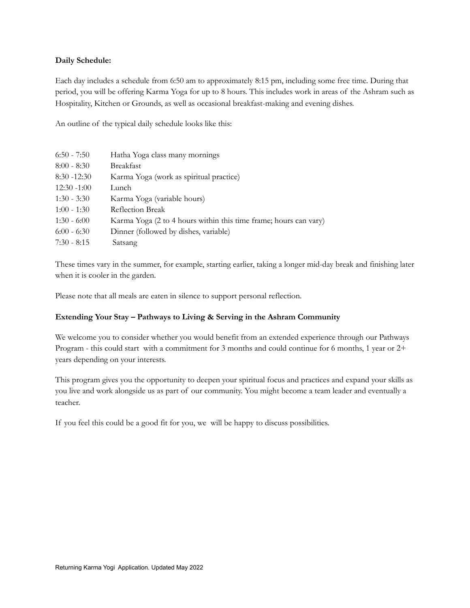#### **Daily Schedule:**

Each day includes a schedule from 6:50 am to approximately 8:15 pm, including some free time. During that period, you will be offering Karma Yoga for up to 8 hours. This includes work in areas of the Ashram such as Hospitality, Kitchen or Grounds, as well as occasional breakfast-making and evening dishes.

An outline of the typical daily schedule looks like this:

| $6:50 - 7:50$  | Hatha Yoga class many mornings                                   |
|----------------|------------------------------------------------------------------|
| $8:00 - 8:30$  | <b>Breakfast</b>                                                 |
| $8:30 - 12:30$ | Karma Yoga (work as spiritual practice)                          |
| $12:30 - 1:00$ | Lunch                                                            |
| $1:30 - 3:30$  | Karma Yoga (variable hours)                                      |
| $1:00 - 1:30$  | Reflection Break                                                 |
| $1:30 - 6:00$  | Karma Yoga (2 to 4 hours within this time frame; hours can vary) |
| $6:00 - 6:30$  | Dinner (followed by dishes, variable)                            |
| $7:30 - 8:15$  | Satsang                                                          |

These times vary in the summer, for example, starting earlier, taking a longer mid-day break and finishing later when it is cooler in the garden.

Please note that all meals are eaten in silence to support personal reflection.

#### **Extending Your Stay – Pathways to Living & Serving in the Ashram Community**

We welcome you to consider whether you would benefit from an extended experience through our Pathways Program - this could start with a commitment for 3 months and could continue for 6 months, 1 year or 2+ years depending on your interests.

This program gives you the opportunity to deepen your spiritual focus and practices and expand your skills as you live and work alongside us as part of our community. You might become a team leader and eventually a teacher.

If you feel this could be a good fit for you, we will be happy to discuss possibilities.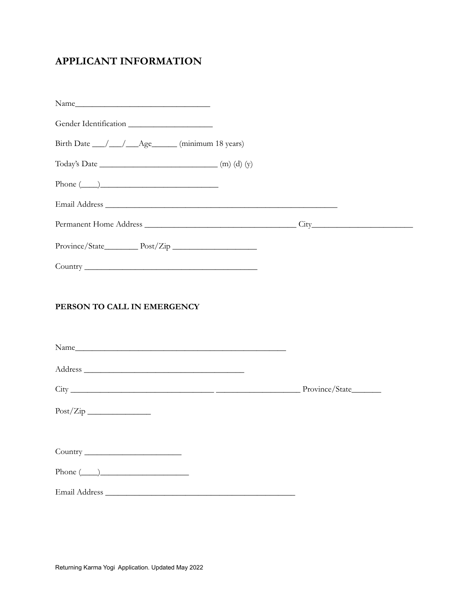# **APPLICANT INFORMATION**

| Gender Identification                                                                                                                                                                                                                                                                                                                                                                                                                                                                                                    |  |
|--------------------------------------------------------------------------------------------------------------------------------------------------------------------------------------------------------------------------------------------------------------------------------------------------------------------------------------------------------------------------------------------------------------------------------------------------------------------------------------------------------------------------|--|
| Birth Date __/__/__Age____ (minimum 18 years)                                                                                                                                                                                                                                                                                                                                                                                                                                                                            |  |
| Today's Date $\begin{array}{c} \text{(m) (d) (y)} \\ \text{(t)} \end{array}$                                                                                                                                                                                                                                                                                                                                                                                                                                             |  |
| $\boxed{\text{Phone} \ (\_\_)}\qquad \qquad \text{---} \qquad \qquad \text{---} \qquad \qquad \text{---} \qquad \qquad \text{---} \qquad \qquad \text{---} \qquad \qquad \text{---} \qquad \qquad \text{---} \qquad \qquad \text{---} \qquad \qquad \text{---} \qquad \qquad \text{---} \qquad \qquad \text{---} \qquad \qquad \text{---} \qquad \qquad \text{---} \qquad \qquad \text{---} \qquad \qquad \text{---} \qquad \qquad \text{---} \qquad \qquad \text{---} \qquad \qquad \text{---} \qquad \qquad \text{---$ |  |
|                                                                                                                                                                                                                                                                                                                                                                                                                                                                                                                          |  |
|                                                                                                                                                                                                                                                                                                                                                                                                                                                                                                                          |  |
|                                                                                                                                                                                                                                                                                                                                                                                                                                                                                                                          |  |
|                                                                                                                                                                                                                                                                                                                                                                                                                                                                                                                          |  |
| PERSON TO CALL IN EMERGENCY                                                                                                                                                                                                                                                                                                                                                                                                                                                                                              |  |
|                                                                                                                                                                                                                                                                                                                                                                                                                                                                                                                          |  |
|                                                                                                                                                                                                                                                                                                                                                                                                                                                                                                                          |  |
|                                                                                                                                                                                                                                                                                                                                                                                                                                                                                                                          |  |
|                                                                                                                                                                                                                                                                                                                                                                                                                                                                                                                          |  |
| Phone $(\_\_)$                                                                                                                                                                                                                                                                                                                                                                                                                                                                                                           |  |
|                                                                                                                                                                                                                                                                                                                                                                                                                                                                                                                          |  |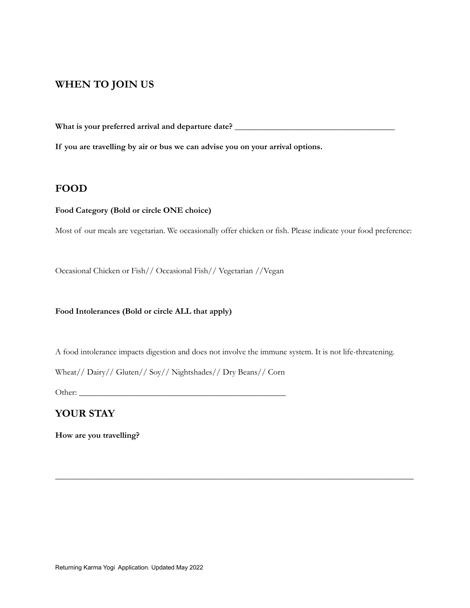### **WHEN TO JOIN US**

**What is your preferred arrival and departure date? \_\_\_\_\_\_\_\_\_\_\_\_\_\_\_\_\_\_\_\_\_\_\_\_\_\_\_\_\_\_\_\_\_\_\_\_\_\_**

**If you are travelling by air or bus we can advise you on your arrival options.**

### **FOOD**

#### **Food Category (Bold or circle ONE choice)**

Most of our meals are vegetarian. We occasionally offer chicken or fish. Please indicate your food preference:

Occasional Chicken or Fish// Occasional Fish// Vegetarian //Vegan

#### **Food Intolerances (Bold or circle ALL that apply)**

A food intolerance impacts digestion and does not involve the immune system. It is not life-threatening.

\_\_\_\_\_\_\_\_\_\_\_\_\_\_\_\_\_\_\_\_\_\_\_\_\_\_\_\_\_\_\_\_\_\_\_\_\_\_\_\_\_\_\_\_\_\_\_\_\_\_\_\_\_\_\_\_\_\_\_\_\_\_\_\_\_\_\_\_\_\_\_\_\_\_\_\_\_\_\_\_\_\_\_\_\_

Wheat// Dairy// Gluten// Soy// Nightshades// Dry Beans// Corn

Other: \_\_\_\_\_\_\_\_\_\_\_\_\_\_\_\_\_\_\_\_\_\_\_\_\_\_\_\_\_\_\_\_\_\_\_\_\_\_\_\_\_\_\_\_\_\_\_\_\_

### **YOUR STAY**

**How are you travelling?**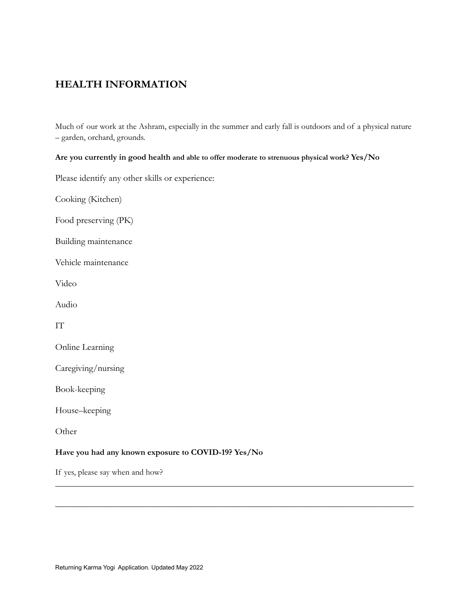## **HEALTH INFORMATION**

Much of our work at the Ashram, especially in the summer and early fall is outdoors and of a physical nature – garden, orchard, grounds.

\_\_\_\_\_\_\_\_\_\_\_\_\_\_\_\_\_\_\_\_\_\_\_\_\_\_\_\_\_\_\_\_\_\_\_\_\_\_\_\_\_\_\_\_\_\_\_\_\_\_\_\_\_\_\_\_\_\_\_\_\_\_\_\_\_\_\_\_\_\_\_\_\_\_\_\_\_\_\_\_\_\_\_\_\_

\_\_\_\_\_\_\_\_\_\_\_\_\_\_\_\_\_\_\_\_\_\_\_\_\_\_\_\_\_\_\_\_\_\_\_\_\_\_\_\_\_\_\_\_\_\_\_\_\_\_\_\_\_\_\_\_\_\_\_\_\_\_\_\_\_\_\_\_\_\_\_\_\_\_\_\_\_\_\_\_\_\_\_\_\_

#### **Are you currently in good health and able to offer moderate to strenuous physical work? Yes/No**

Please identify any other skills or experience:

Cooking (Kitchen)

Food preserving (PK)

Building maintenance

Vehicle maintenance

Video

Audio

IT

|  | Online Learning |
|--|-----------------|

Caregiving/nursing

Book-keeping

House–keeping

Other

#### **Have you had any known exposure to COVID-19? Yes/No**

If yes, please say when and how?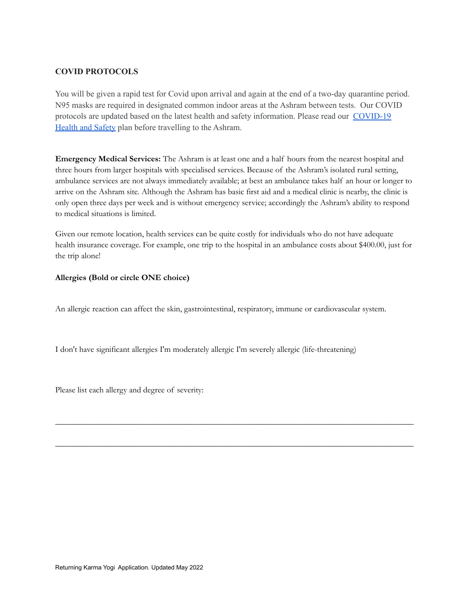### **COVID PROTOCOLS**

You will be given a rapid test for Covid upon arrival and again at the end of a two-day quarantine period. N95 masks are required in designated common indoor areas at the Ashram between tests. Our COVID protocols are updated based on the latest health and safety information. Please read our [COVID-19](https://www.yasodhara.org/coronavirus-covid-19-update/) [Health](https://www.yasodhara.org/coronavirus-covid-19-update/) and Safety plan before travelling to the Ashram.

**Emergency Medical Services:** The Ashram is at least one and a half hours from the nearest hospital and three hours from larger hospitals with specialised services. Because of the Ashram's isolated rural setting, ambulance services are not always immediately available; at best an ambulance takes half an hour or longer to arrive on the Ashram site. Although the Ashram has basic first aid and a medical clinic is nearby, the clinic is only open three days per week and is without emergency service; accordingly the Ashram's ability to respond to medical situations is limited.

Given our remote location, health services can be quite costly for individuals who do not have adequate health insurance coverage. For example, one trip to the hospital in an ambulance costs about \$400.00, just for the trip alone!

\_\_\_\_\_\_\_\_\_\_\_\_\_\_\_\_\_\_\_\_\_\_\_\_\_\_\_\_\_\_\_\_\_\_\_\_\_\_\_\_\_\_\_\_\_\_\_\_\_\_\_\_\_\_\_\_\_\_\_\_\_\_\_\_\_\_\_\_\_\_\_\_\_\_\_\_\_\_\_\_\_\_\_\_\_

\_\_\_\_\_\_\_\_\_\_\_\_\_\_\_\_\_\_\_\_\_\_\_\_\_\_\_\_\_\_\_\_\_\_\_\_\_\_\_\_\_\_\_\_\_\_\_\_\_\_\_\_\_\_\_\_\_\_\_\_\_\_\_\_\_\_\_\_\_\_\_\_\_\_\_\_\_\_\_\_\_\_\_\_\_

#### **Allergies (Bold or circle ONE choice)**

An allergic reaction can affect the skin, gastrointestinal, respiratory, immune or cardiovascular system.

I don't have significant allergies I'm moderately allergic I'm severely allergic (life-threatening)

Please list each allergy and degree of severity: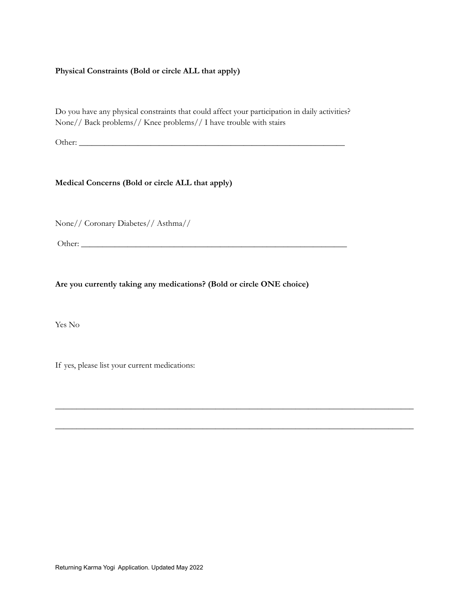#### **Physical Constraints (Bold or circle ALL that apply)**

Do you have any physical constraints that could affect your participation in daily activities? None// Back problems// Knee problems// I have trouble with stairs

Other: \_\_\_\_\_\_\_\_\_\_\_\_\_\_\_\_\_\_\_\_\_\_\_\_\_\_\_\_\_\_\_\_\_\_\_\_\_\_\_\_\_\_\_\_\_\_\_\_\_\_\_\_\_\_\_\_\_\_\_\_\_\_\_

#### **Medical Concerns (Bold or circle ALL that apply)**

None// Coronary Diabetes// Asthma//

Other: \_\_\_\_\_\_\_\_\_\_\_\_\_\_\_\_\_\_\_\_\_\_\_\_\_\_\_\_\_\_\_\_\_\_\_\_\_\_\_\_\_\_\_\_\_\_\_\_\_\_\_\_\_\_\_\_\_\_\_\_\_\_\_

**Are you currently taking any medications? (Bold or circle ONE choice)**

\_\_\_\_\_\_\_\_\_\_\_\_\_\_\_\_\_\_\_\_\_\_\_\_\_\_\_\_\_\_\_\_\_\_\_\_\_\_\_\_\_\_\_\_\_\_\_\_\_\_\_\_\_\_\_\_\_\_\_\_\_\_\_\_\_\_\_\_\_\_\_\_\_\_\_\_\_\_\_\_\_\_\_\_\_

\_\_\_\_\_\_\_\_\_\_\_\_\_\_\_\_\_\_\_\_\_\_\_\_\_\_\_\_\_\_\_\_\_\_\_\_\_\_\_\_\_\_\_\_\_\_\_\_\_\_\_\_\_\_\_\_\_\_\_\_\_\_\_\_\_\_\_\_\_\_\_\_\_\_\_\_\_\_\_\_\_\_\_\_\_

Yes No

If yes, please list your current medications: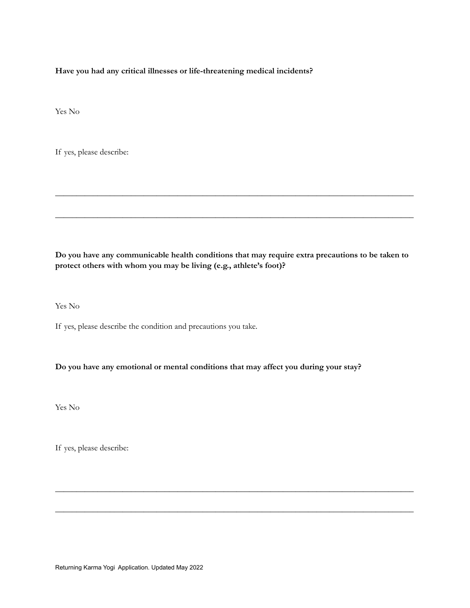**Have you had any critical illnesses or life-threatening medical incidents?**

Yes No

If yes, please describe:

**Do you have any communicable health conditions that may require extra precautions to be taken to protect others with whom you may be living (e.g., athlete's foot)?**

\_\_\_\_\_\_\_\_\_\_\_\_\_\_\_\_\_\_\_\_\_\_\_\_\_\_\_\_\_\_\_\_\_\_\_\_\_\_\_\_\_\_\_\_\_\_\_\_\_\_\_\_\_\_\_\_\_\_\_\_\_\_\_\_\_\_\_\_\_\_\_\_\_\_\_\_\_\_\_\_\_\_\_\_\_

\_\_\_\_\_\_\_\_\_\_\_\_\_\_\_\_\_\_\_\_\_\_\_\_\_\_\_\_\_\_\_\_\_\_\_\_\_\_\_\_\_\_\_\_\_\_\_\_\_\_\_\_\_\_\_\_\_\_\_\_\_\_\_\_\_\_\_\_\_\_\_\_\_\_\_\_\_\_\_\_\_\_\_\_\_

\_\_\_\_\_\_\_\_\_\_\_\_\_\_\_\_\_\_\_\_\_\_\_\_\_\_\_\_\_\_\_\_\_\_\_\_\_\_\_\_\_\_\_\_\_\_\_\_\_\_\_\_\_\_\_\_\_\_\_\_\_\_\_\_\_\_\_\_\_\_\_\_\_\_\_\_\_\_\_\_\_\_\_\_\_

\_\_\_\_\_\_\_\_\_\_\_\_\_\_\_\_\_\_\_\_\_\_\_\_\_\_\_\_\_\_\_\_\_\_\_\_\_\_\_\_\_\_\_\_\_\_\_\_\_\_\_\_\_\_\_\_\_\_\_\_\_\_\_\_\_\_\_\_\_\_\_\_\_\_\_\_\_\_\_\_\_\_\_\_\_

Yes No

If yes, please describe the condition and precautions you take.

**Do you have any emotional or mental conditions that may affect you during your stay?**

Yes No

If yes, please describe:

Returning Karma Yogi Application. Updated May 2022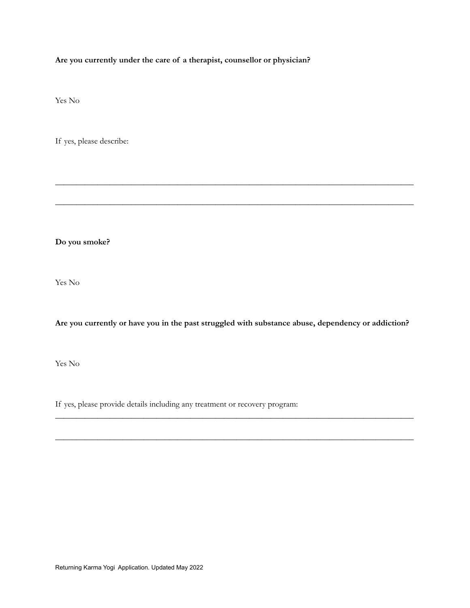**Are you currently under the care of a therapist, counsellor or physician?**

Yes No

If yes, please describe:

**Do you smoke?**

Yes No

**Are you currently or have you in the past struggled with substance abuse, dependency or addiction?**

\_\_\_\_\_\_\_\_\_\_\_\_\_\_\_\_\_\_\_\_\_\_\_\_\_\_\_\_\_\_\_\_\_\_\_\_\_\_\_\_\_\_\_\_\_\_\_\_\_\_\_\_\_\_\_\_\_\_\_\_\_\_\_\_\_\_\_\_\_\_\_\_\_\_\_\_\_\_\_\_\_\_\_\_\_

\_\_\_\_\_\_\_\_\_\_\_\_\_\_\_\_\_\_\_\_\_\_\_\_\_\_\_\_\_\_\_\_\_\_\_\_\_\_\_\_\_\_\_\_\_\_\_\_\_\_\_\_\_\_\_\_\_\_\_\_\_\_\_\_\_\_\_\_\_\_\_\_\_\_\_\_\_\_\_\_\_\_\_\_\_

\_\_\_\_\_\_\_\_\_\_\_\_\_\_\_\_\_\_\_\_\_\_\_\_\_\_\_\_\_\_\_\_\_\_\_\_\_\_\_\_\_\_\_\_\_\_\_\_\_\_\_\_\_\_\_\_\_\_\_\_\_\_\_\_\_\_\_\_\_\_\_\_\_\_\_\_\_\_\_\_\_\_\_\_\_

\_\_\_\_\_\_\_\_\_\_\_\_\_\_\_\_\_\_\_\_\_\_\_\_\_\_\_\_\_\_\_\_\_\_\_\_\_\_\_\_\_\_\_\_\_\_\_\_\_\_\_\_\_\_\_\_\_\_\_\_\_\_\_\_\_\_\_\_\_\_\_\_\_\_\_\_\_\_\_\_\_\_\_\_\_

Yes No

If yes, please provide details including any treatment or recovery program: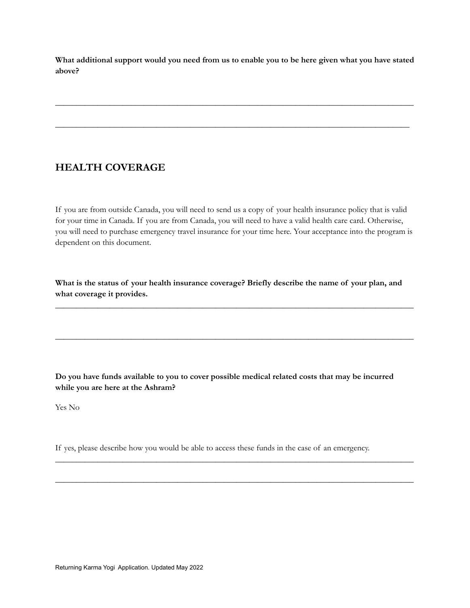What additional support would you need from us to enable you to be here given what you have stated **above?**

\_\_\_\_\_\_\_\_\_\_\_\_\_\_\_\_\_\_\_\_\_\_\_\_\_\_\_\_\_\_\_\_\_\_\_\_\_\_\_\_\_\_\_\_\_\_\_\_\_\_\_\_\_\_\_\_\_\_\_\_\_\_\_\_\_\_\_\_\_\_\_\_\_\_\_\_\_\_\_\_\_\_\_\_\_

\_\_\_\_\_\_\_\_\_\_\_\_\_\_\_\_\_\_\_\_\_\_\_\_\_\_\_\_\_\_\_\_\_\_\_\_\_\_\_\_\_\_\_\_\_\_\_\_\_\_\_\_\_\_\_\_\_\_\_\_\_\_\_\_\_\_\_\_\_\_\_\_\_\_\_\_\_\_\_\_\_\_\_\_

## **HEALTH COVERAGE**

If you are from outside Canada, you will need to send us a copy of your health insurance policy that is valid for your time in Canada. If you are from Canada, you will need to have a valid health care card. Otherwise, you will need to purchase emergency travel insurance for your time here. Your acceptance into the program is dependent on this document.

**What is the status of your health insurance coverage? Briefly describe the name of your plan, and what coverage it provides.**

\_\_\_\_\_\_\_\_\_\_\_\_\_\_\_\_\_\_\_\_\_\_\_\_\_\_\_\_\_\_\_\_\_\_\_\_\_\_\_\_\_\_\_\_\_\_\_\_\_\_\_\_\_\_\_\_\_\_\_\_\_\_\_\_\_\_\_\_\_\_\_\_\_\_\_\_\_\_\_\_\_\_\_\_\_

\_\_\_\_\_\_\_\_\_\_\_\_\_\_\_\_\_\_\_\_\_\_\_\_\_\_\_\_\_\_\_\_\_\_\_\_\_\_\_\_\_\_\_\_\_\_\_\_\_\_\_\_\_\_\_\_\_\_\_\_\_\_\_\_\_\_\_\_\_\_\_\_\_\_\_\_\_\_\_\_\_\_\_\_\_

\_\_\_\_\_\_\_\_\_\_\_\_\_\_\_\_\_\_\_\_\_\_\_\_\_\_\_\_\_\_\_\_\_\_\_\_\_\_\_\_\_\_\_\_\_\_\_\_\_\_\_\_\_\_\_\_\_\_\_\_\_\_\_\_\_\_\_\_\_\_\_\_\_\_\_\_\_\_\_\_\_\_\_\_\_

\_\_\_\_\_\_\_\_\_\_\_\_\_\_\_\_\_\_\_\_\_\_\_\_\_\_\_\_\_\_\_\_\_\_\_\_\_\_\_\_\_\_\_\_\_\_\_\_\_\_\_\_\_\_\_\_\_\_\_\_\_\_\_\_\_\_\_\_\_\_\_\_\_\_\_\_\_\_\_\_\_\_\_\_\_

**Do you have funds available to you to cover possible medical related costs that may be incurred while you are here at the Ashram?**

Yes No

If yes, please describe how you would be able to access these funds in the case of an emergency.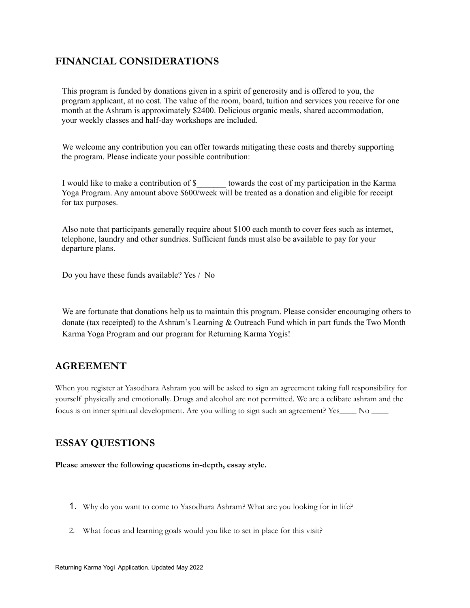## **FINANCIAL CONSIDERATIONS**

This program is funded by donations given in a spirit of generosity and is offered to you, the program applicant, at no cost. The value of the room, board, tuition and services you receive for one month at the Ashram is approximately \$2400. Delicious organic meals, shared accommodation, your weekly classes and half-day workshops are included.

We welcome any contribution you can offer towards mitigating these costs and thereby supporting the program. Please indicate your possible contribution:

I would like to make a contribution of \$*\_\_\_\_\_\_\_* towards the cost of my participation in the Karma Yoga Program. Any amount above \$600/week will be treated as a donation and eligible for receipt for tax purposes.

Also note that participants generally require about \$100 each month to cover fees such as internet, telephone, laundry and other sundries. Sufficient funds must also be available to pay for your departure plans.

Do you have these funds available? Yes / No

We are fortunate that donations help us to maintain this program. Please consider encouraging others to donate (tax receipted) to the Ashram's Learning & Outreach Fund which in part funds the Two Month Karma Yoga Program and our program for Returning Karma Yogis!

### **AGREEMENT**

When you register at Yasodhara Ashram you will be asked to sign an agreement taking full responsibility for yourself physically and emotionally. Drugs and alcohol are not permitted. We are a celibate ashram and the focus is on inner spiritual development. Are you willing to sign such an agreement? Yes\_\_\_\_ No \_\_\_\_

## **ESSAY QUESTIONS**

**Please answer the following questions in-depth, essay style.**

- 1. Why do you want to come to Yasodhara Ashram? What are you looking for in life?
- 2. What focus and learning goals would you like to set in place for this visit?